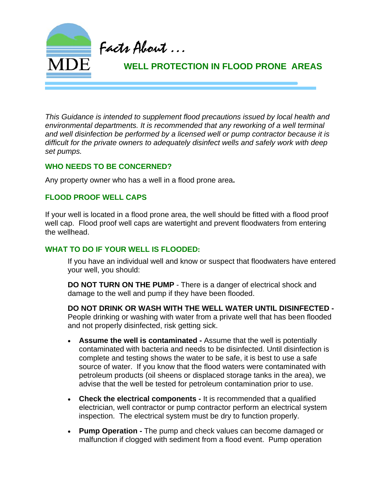

*This Guidance is intended to supplement flood precautions issued by local health and environmental departments. It is recommended that any reworking of a well terminal and well disinfection be performed by a licensed well or pump contractor because it is difficult for the private owners to adequately disinfect wells and safely work with deep set pumps.* 

#### **WHO NEEDS TO BE CONCERNED?**

Any property owner who has a well in a flood prone area**.** 

### **FLOOD PROOF WELL CAPS**

If your well is located in a flood prone area, the well should be fitted with a flood proof well cap. Flood proof well caps are watertight and prevent floodwaters from entering the wellhead.

### **WHAT TO DO IF YOUR WELL IS FLOODED:**

If you have an individual well and know or suspect that floodwaters have entered your well, you should:

**DO NOT TURN ON THE PUMP** - There is a danger of electrical shock and damage to the well and pump if they have been flooded.

**DO NOT DRINK OR WASH WITH THE WELL WATER UNTIL DISINFECTED -** People drinking or washing with water from a private well that has been flooded and not properly disinfected, risk getting sick.

- **Assume the well is contaminated -** Assume that the well is potentially contaminated with bacteria and needs to be disinfected. Until disinfection is complete and testing shows the water to be safe, it is best to use a safe source of water. If you know that the flood waters were contaminated with petroleum products (oil sheens or displaced storage tanks in the area), we advise that the well be tested for petroleum contamination prior to use.
- **Check the electrical components** It is recommended that a qualified electrician, well contractor or pump contractor perform an electrical system inspection. The electrical system must be dry to function properly.
- **Pump Operation -** The pump and check values can become damaged or malfunction if clogged with sediment from a flood event. Pump operation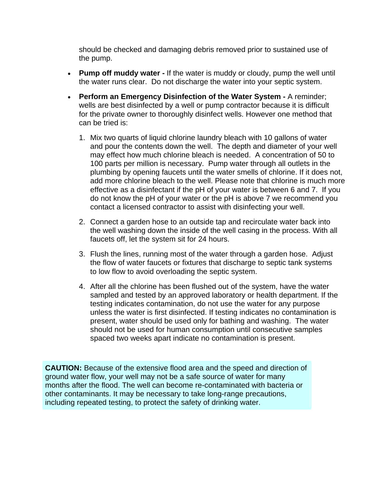should be checked and damaging debris removed prior to sustained use of the pump.

- **Pump off muddy water -** If the water is muddy or cloudy, pump the well until the water runs clear. Do not discharge the water into your septic system.
- **Perform an Emergency Disinfection of the Water System** A reminder; wells are best disinfected by a well or pump contractor because it is difficult for the private owner to thoroughly disinfect wells. However one method that can be tried is:
	- 1. Mix two quarts of liquid chlorine laundry bleach with 10 gallons of water and pour the contents down the well. The depth and diameter of your well may effect how much chlorine bleach is needed. A concentration of 50 to 100 parts per million is necessary. Pump water through all outlets in the plumbing by opening faucets until the water smells of chlorine. If it does not, add more chlorine bleach to the well. Please note that chlorine is much more effective as a disinfectant if the pH of your water is between 6 and 7. If you do not know the pH of your water or the pH is above 7 we recommend you contact a licensed contractor to assist with disinfecting your well.
	- 2. Connect a garden hose to an outside tap and recirculate water back into the well washing down the inside of the well casing in the process. With all faucets off, let the system sit for 24 hours.
	- 3. Flush the lines, running most of the water through a garden hose. Adjust the flow of water faucets or fixtures that discharge to septic tank systems to low flow to avoid overloading the septic system.
	- 4. After all the chlorine has been flushed out of the system, have the water sampled and tested by an approved laboratory or health department. If the testing indicates contamination, do not use the water for any purpose unless the water is first disinfected. If testing indicates no contamination is present, water should be used only for bathing and washing. The water should not be used for human consumption until consecutive samples spaced two weeks apart indicate no contamination is present.

**CAUTION:** Because of the extensive flood area and the speed and direction of ground water flow, your well may not be a safe source of water for many months after the flood. The well can become re-contaminated with bacteria or other contaminants. It may be necessary to take long-range precautions, including repeated testing, to protect the safety of drinking water.